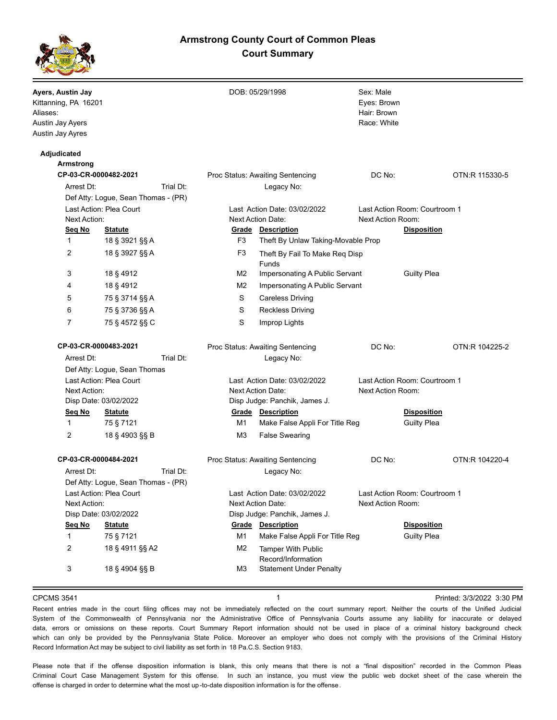# **Armstrong County Court of Common Pleas Court Summary**



| Ayers, Austin Jay<br>Kittanning, PA 16201<br>Aliases:<br>Austin Jay Ayers<br>Austin Jay Ayres |                                     |           |                                                          | DOB: 05/29/1998                                            | Sex: Male<br>Eyes: Brown<br>Hair: Brown<br>Race: White |                                          |                |
|-----------------------------------------------------------------------------------------------|-------------------------------------|-----------|----------------------------------------------------------|------------------------------------------------------------|--------------------------------------------------------|------------------------------------------|----------------|
| Adjudicated                                                                                   |                                     |           |                                                          |                                                            |                                                        |                                          |                |
| <b>Armstrong</b>                                                                              |                                     |           |                                                          |                                                            | DC No:                                                 |                                          | OTN:R 115330-5 |
| CP-03-CR-0000482-2021<br>Arrest Dt:                                                           |                                     | Trial Dt: | Proc Status: Awaiting Sentencing<br>Legacy No:           |                                                            |                                                        |                                          |                |
|                                                                                               |                                     |           |                                                          |                                                            |                                                        |                                          |                |
| Def Atty: Logue, Sean Thomas - (PR)<br>Last Action: Plea Court<br>Next Action:                |                                     |           | Last Action Date: 03/02/2022<br>Next Action Date:        |                                                            | Last Action Room: Courtroom 1<br>Next Action Room:     |                                          |                |
| Seg No<br><b>Statute</b>                                                                      |                                     |           | <b>Grade Description</b>                                 |                                                            |                                                        | <b>Disposition</b>                       |                |
| $\mathbf{1}$                                                                                  | 18 § 3921 §§ A                      |           | F3                                                       | Theft By Unlaw Taking-Movable Prop                         |                                                        |                                          |                |
| 2                                                                                             | 18 § 3927 §§ A                      |           | F <sub>3</sub>                                           | Theft By Fail To Make Req Disp                             |                                                        |                                          |                |
|                                                                                               |                                     |           |                                                          | Funds                                                      |                                                        |                                          |                |
| 3                                                                                             | 18 § 4912                           |           | M <sub>2</sub>                                           | Impersonating A Public Servant                             |                                                        | <b>Guilty Plea</b>                       |                |
| 4                                                                                             | 18 § 4912                           |           | M <sub>2</sub>                                           | Impersonating A Public Servant                             |                                                        |                                          |                |
| 5                                                                                             | 75 § 3714 §§ A                      |           | S                                                        | <b>Careless Driving</b>                                    |                                                        |                                          |                |
| 6                                                                                             | 75 § 3736 §§ A                      |           | S                                                        | <b>Reckless Driving</b>                                    |                                                        |                                          |                |
| 7                                                                                             | 75 § 4572 §§ C                      |           | S                                                        | Improp Lights                                              |                                                        |                                          |                |
| CP-03-CR-0000483-2021                                                                         |                                     |           | Proc Status: Awaiting Sentencing                         |                                                            | DC No:                                                 |                                          | OTN:R 104225-2 |
| Trial Dt:<br>Arrest Dt:                                                                       |                                     |           |                                                          | Legacy No:                                                 |                                                        |                                          |                |
|                                                                                               | Def Atty: Logue, Sean Thomas        |           |                                                          |                                                            |                                                        |                                          |                |
| Last Action: Plea Court<br>Next Action:                                                       |                                     |           | Last Action Date: 03/02/2022<br><b>Next Action Date:</b> |                                                            | Last Action Room: Courtroom 1<br>Next Action Room:     |                                          |                |
| Disp Date: 03/02/2022                                                                         |                                     |           |                                                          | Disp Judge: Panchik, James J.                              |                                                        |                                          |                |
| Seq No<br>$\mathbf{1}$                                                                        | <b>Statute</b><br>75 § 7121         |           | M1                                                       | <b>Grade Description</b><br>Make False Appli For Title Reg |                                                        | <b>Disposition</b><br><b>Guilty Plea</b> |                |
| 2                                                                                             | 18 § 4903 §§ B                      |           | M3                                                       | <b>False Swearing</b>                                      |                                                        |                                          |                |
| CP-03-CR-0000484-2021                                                                         |                                     |           |                                                          | Proc Status: Awaiting Sentencing                           | DC No:                                                 |                                          | OTN:R 104220-4 |
| Arrest Dt:                                                                                    |                                     | Trial Dt: |                                                          | Legacy No:                                                 |                                                        |                                          |                |
|                                                                                               | Def Atty: Logue, Sean Thomas - (PR) |           |                                                          |                                                            |                                                        |                                          |                |
| Last Action: Plea Court                                                                       |                                     |           | Last Action Date: 03/02/2022                             |                                                            | Last Action Room: Courtroom 1                          |                                          |                |
| Next Action:                                                                                  |                                     |           | Next Action Date:                                        |                                                            | Next Action Room:                                      |                                          |                |
| Disp Date: 03/02/2022                                                                         |                                     |           | Disp Judge: Panchik, James J.                            |                                                            |                                                        |                                          |                |
| Seq No                                                                                        | <b>Statute</b>                      |           | Grade                                                    | <b>Description</b>                                         |                                                        | <b>Disposition</b>                       |                |
| $\mathbf{1}$                                                                                  | 75 § 7121                           |           | M1                                                       | Make False Appli For Title Reg                             |                                                        | <b>Guilty Plea</b>                       |                |
| 2                                                                                             | 18 § 4911 §§ A2                     |           | M <sub>2</sub>                                           | <b>Tamper With Public</b><br>Record/Information            |                                                        |                                          |                |
| 3                                                                                             | 18 § 4904 §§ B                      |           | M <sub>3</sub>                                           | <b>Statement Under Penalty</b>                             |                                                        |                                          |                |
|                                                                                               |                                     |           |                                                          |                                                            |                                                        |                                          |                |

CPCMS 3541 **1 1 1 1 1 1 1 1 Printed: 3/3/2022 3:30 PM** 

Recent entries made in the court filing offices may not be immediately reflected on the court summary report. Neither the courts of the Unified Judicial System of the Commonwealth of Pennsylvania nor the Administrative Office of Pennsylvania Courts assume any liability for inaccurate or delayed data, errors or omissions on these reports. Court Summary Report information should not be used in place of a criminal history background check which can only be provided by the Pennsylvania State Police. Moreover an employer who does not comply with the provisions of the Criminal History Record Information Act may be subject to civil liability as set forth in 18 Pa.C.S. Section 9183.

Please note that if the offense disposition information is blank, this only means that there is not a "final disposition" recorded in the Common Pleas Criminal Court Case Management System for this offense. In such an instance, you must view the public web docket sheet of the case wherein the offense is charged in order to determine what the most up -to-date disposition information is for the offense.